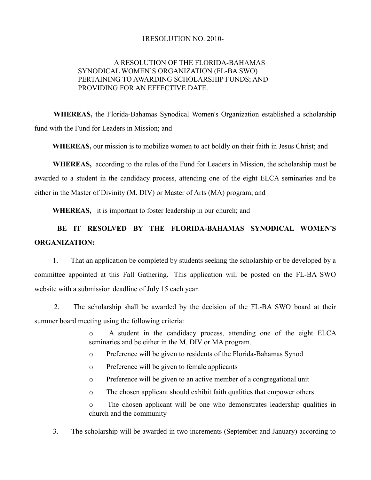## 1RESOLUTION NO. 2010-

## A RESOLUTION OF THE FLORIDA-BAHAMAS SYNODICAL WOMEN'S ORGANIZATION (FL-BA SWO) PERTAINING TO AWARDING SCHOLARSHIP FUNDS; AND PROVIDING FOR AN EFFECTIVE DATE.

**WHEREAS,** the Florida-Bahamas Synodical Women's Organization established a scholarship fund with the Fund for Leaders in Mission; and

**WHEREAS,** our mission is to mobilize women to act boldly on their faith in Jesus Christ; and

**WHEREAS,** according to the rules of the Fund for Leaders in Mission, the scholarship must be awarded to a student in the candidacy process, attending one of the eight ELCA seminaries and be either in the Master of Divinity (M. DIV) or Master of Arts (MA) program; and

**WHEREAS,** it is important to foster leadership in our church; and

## **BE IT RESOLVED BY THE FLORIDA-BAHAMAS SYNODICAL WOMEN'S ORGANIZATION:**

 1. That an application be completed by students seeking the scholarship or be developed by a committee appointed at this Fall Gathering. This application will be posted on the FL-BA SWO website with a submission deadline of July 15 each year.

 2. The scholarship shall be awarded by the decision of the FL-BA SWO board at their summer board meeting using the following criteria:

> o A student in the candidacy process, attending one of the eight ELCA seminaries and be either in the M. DIV or MA program.

- o Preference will be given to residents of the Florida-Bahamas Synod
- o Preference will be given to female applicants
- o Preference will be given to an active member of a congregational unit
- o The chosen applicant should exhibit faith qualities that empower others

o The chosen applicant will be one who demonstrates leadership qualities in church and the community

3. The scholarship will be awarded in two increments (September and January) according to